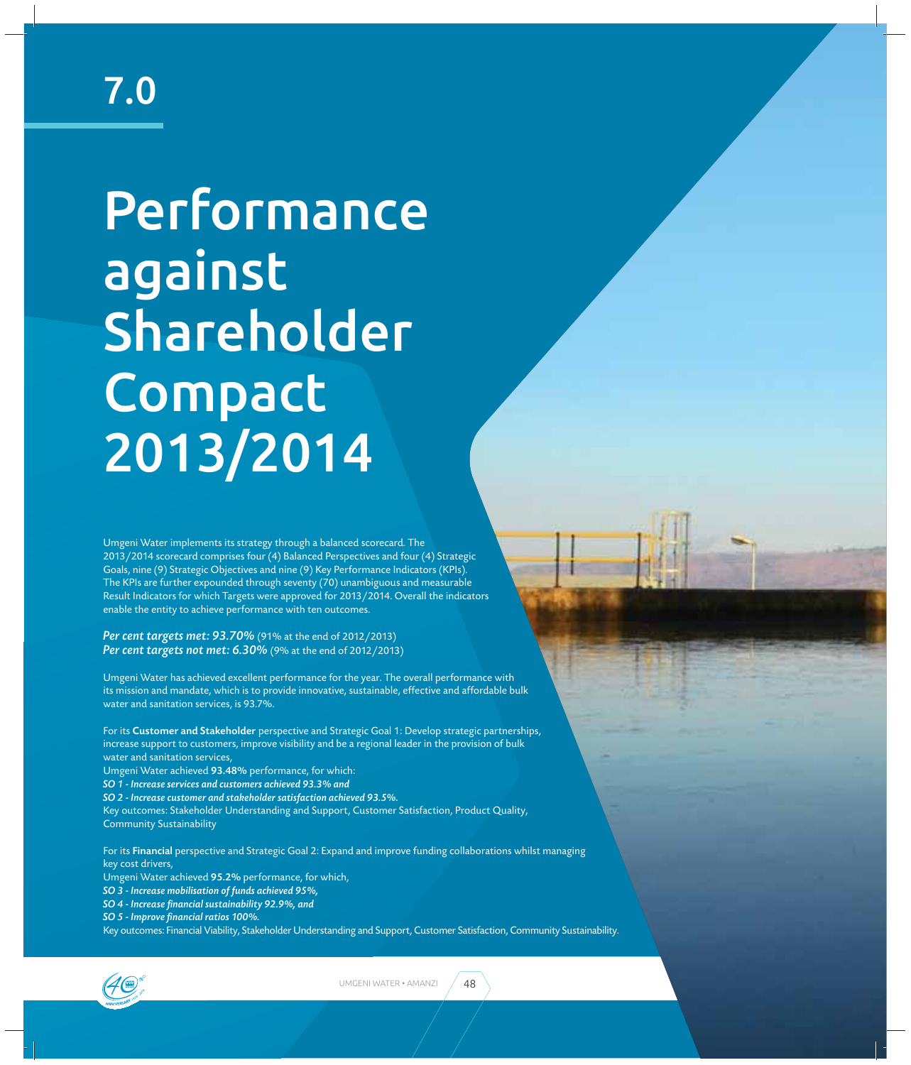## 7.0

# Performance against Shareholder **Compact** 2013/2014

Umgeni Water implements its strategy through a balanced scorecard. The 2013/2014 scorecard comprises four (4) Balanced Perspectives and four (4) Strategic Goals, nine (9) Strategic Objectives and nine (9) Key Performance Indicators (KPIs). The KPIs are further expounded through seventy (70) unambiguous and measurable Result Indicators for which Targets were approved for 2013/2014. Overall the indicators enable the entity to achieve performance with ten outcomes.

*Per cent targets met: 93.70%* (91% at the end of 2012/2013) *Per cent targets not met: 6.30%* (9% at the end of 2012/2013)

Umgeni Water has achieved excellent performance for the year. The overall performance with its mission and mandate, which is to provide innovative, sustainable, effective and affordable bulk water and sanitation services, is 93.7%.

For its Customer and Stakeholder perspective and Strategic Goal 1: Develop strategic partnerships, increase support to customers, improve visibility and be a regional leader in the provision of bulk water and sanitation services,

Umgeni Water achieved 93.48% performance, for which:

*SO 1 - Increase services and customers achieved 93.3% and*

*SO 2 - Increase customer and stakeholder satisfaction achieved 93.5%.*

Key outcomes: Stakeholder Understanding and Support, Customer Satisfaction, Product Quality, Community Sustainability

For its Financial perspective and Strategic Goal 2: Expand and improve funding collaborations whilst managing key cost drivers,

Umgeni Water achieved 95.2% performance, for which,

*SO 3 - Increase mobilisation of funds achieved 95%,*

*SO 4 - Increase fi nancial sustainability 92.9%, and*

*SO 5 - Improve fi nancial ratios 100%.*

Key outcomes: Financial Viability, Stakeholder Understanding and Support, Customer Satisfaction, Community Sustainability.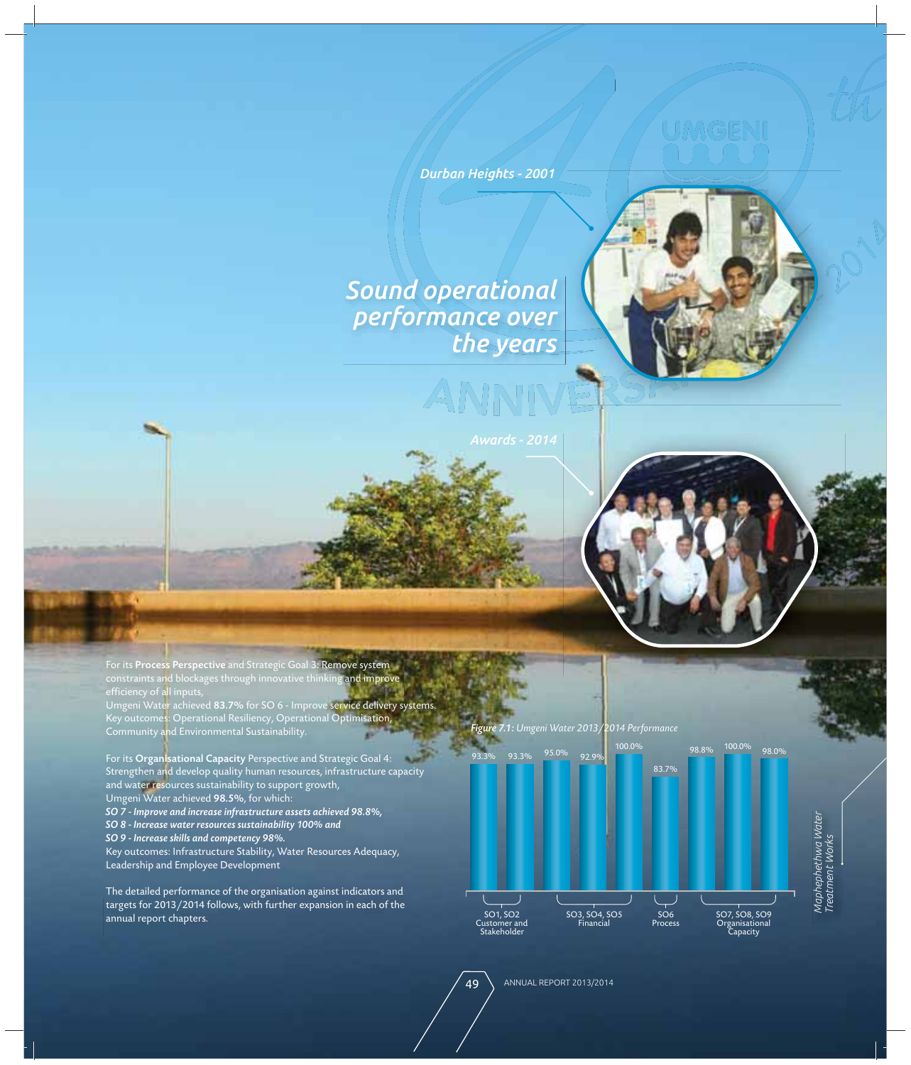Durban Heights - 2001

*Sound operational performance over the years*





For its Process Perspective and Strategic Goal 3: Remove system constraints and blockages through innovative thinking and improve efficiency of a<mark>l</mark>l inputs, Umgeni Water achieved **83.7%** for SO 6 - Improve s**ervice delivery systems.** Key outcomes: Operational Resiliency, Operational Optimisation, Community and Environmental Sustainability.

For its Organisational Capacity Perspective and Strategic Goal 4: Strengthen and develop quality human resources, infrastructure capacity and water resources sustainability to support growth, Umgeni Water achieved 98.5%, for which: *SO 7 - Improve and increase infrastructure assets achieved 98.8%, SO 8 - Increase water resources sustainability 100% and*

*SO 9 - Increase skills and competency 98%.*

Key outcomes: Infrastructure Stability, Water Resources Adequacy, Leadership and Employee Development

The detailed performance of the organisation against indicators and targets for 2013/2014 follows, with further expansion in each of the annual report chapters.<br>SO1, SO2 annual report chapters.

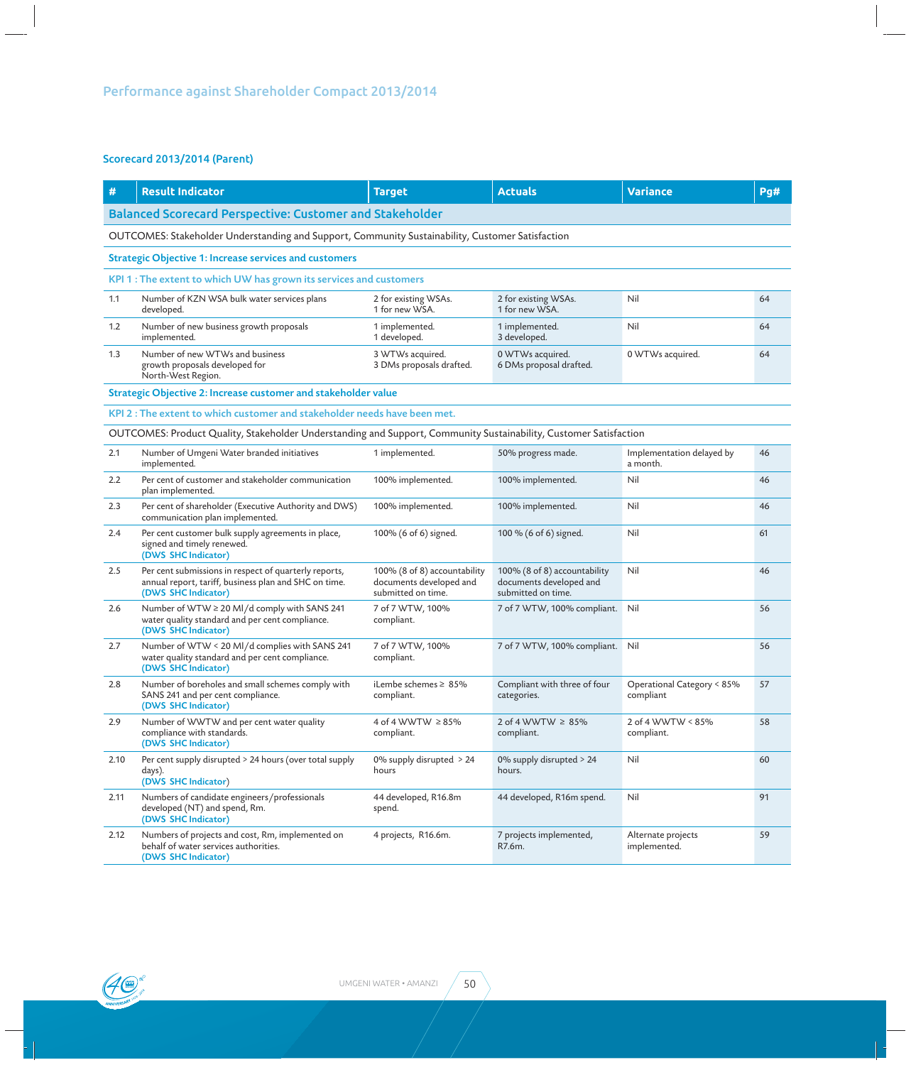## Scorecard 2013/2014 (Parent)

| #                                                                                                | <b>Result Indicator</b>                                                                                                               | <b>Target</b>                                                                 | <b>Actuals</b>                                                                | Variance                                | Pq# |  |  |  |
|--------------------------------------------------------------------------------------------------|---------------------------------------------------------------------------------------------------------------------------------------|-------------------------------------------------------------------------------|-------------------------------------------------------------------------------|-----------------------------------------|-----|--|--|--|
| <b>Balanced Scorecard Perspective: Customer and Stakeholder</b>                                  |                                                                                                                                       |                                                                               |                                                                               |                                         |     |  |  |  |
| OUTCOMES: Stakeholder Understanding and Support, Community Sustainability, Customer Satisfaction |                                                                                                                                       |                                                                               |                                                                               |                                         |     |  |  |  |
| <b>Strategic Objective 1: Increase services and customers</b>                                    |                                                                                                                                       |                                                                               |                                                                               |                                         |     |  |  |  |
|                                                                                                  | KPI 1 : The extent to which UW has grown its services and customers                                                                   |                                                                               |                                                                               |                                         |     |  |  |  |
| 1.1                                                                                              | Number of KZN WSA bulk water services plans<br>developed.                                                                             | 2 for existing WSAs.<br>1 for new WSA.                                        | 2 for existing WSAs.<br>1 for new WSA.                                        | Nil                                     | 64  |  |  |  |
| 1.2                                                                                              | Number of new business growth proposals<br>implemented.                                                                               | 1 implemented.<br>1 developed.                                                | 1 implemented.<br>3 developed.                                                | Nil                                     | 64  |  |  |  |
| 1.3                                                                                              | Number of new WTWs and business<br>growth proposals developed for<br>North-West Region.                                               | 3 WTWs acquired.<br>3 DMs proposals drafted.                                  | 0 WTWs acquired.<br>6 DMs proposal drafted.                                   | 0 WTWs acquired.                        | 64  |  |  |  |
|                                                                                                  | Strategic Objective 2: Increase customer and stakeholder value                                                                        |                                                                               |                                                                               |                                         |     |  |  |  |
|                                                                                                  | KPI 2 : The extent to which customer and stakeholder needs have been met.                                                             |                                                                               |                                                                               |                                         |     |  |  |  |
|                                                                                                  | OUTCOMES: Product Quality, Stakeholder Understanding and Support, Community Sustainability, Customer Satisfaction                     |                                                                               |                                                                               |                                         |     |  |  |  |
| 2.1                                                                                              | Number of Umgeni Water branded initiatives<br>implemented.                                                                            | 1 implemented.                                                                | 50% progress made.                                                            | Implementation delayed by<br>a month.   | 46  |  |  |  |
| 2.2                                                                                              | Per cent of customer and stakeholder communication<br>plan implemented.                                                               | 100% implemented.                                                             | 100% implemented.                                                             | Nil                                     | 46  |  |  |  |
| 2.3                                                                                              | Per cent of shareholder (Executive Authority and DWS)<br>communication plan implemented.                                              | 100% implemented.                                                             | 100% implemented.                                                             | Nil                                     | 46  |  |  |  |
| 2.4                                                                                              | Per cent customer bulk supply agreements in place,<br>signed and timely renewed.<br>(DWS SHC Indicator)                               | 100% (6 of 6) signed.                                                         | 100 % (6 of 6) signed.                                                        | Nil                                     | 61  |  |  |  |
| 2.5                                                                                              | Per cent submissions in respect of quarterly reports,<br>annual report, tariff, business plan and SHC on time.<br>(DWS SHC Indicator) | 100% (8 of 8) accountability<br>documents developed and<br>submitted on time. | 100% (8 of 8) accountability<br>documents developed and<br>submitted on time. | Nil                                     | 46  |  |  |  |
| 2.6                                                                                              | Number of WTW ≥ 20 Ml/d comply with SANS 241<br>water quality standard and per cent compliance.<br>(DWS SHC Indicator)                | 7 of 7 WTW, 100%<br>compliant.                                                | 7 of 7 WTW, 100% compliant.                                                   | Nil                                     | 56  |  |  |  |
| 2.7                                                                                              | Number of WTW < 20 Ml/d complies with SANS 241<br>water quality standard and per cent compliance.<br>(DWS SHC Indicator)              | 7 of 7 WTW, 100%<br>compliant.                                                | 7 of 7 WTW, 100% compliant.                                                   | Nil                                     | 56  |  |  |  |
| 2.8                                                                                              | Number of boreholes and small schemes comply with<br>SANS 241 and per cent compliance.<br>(DWS SHC Indicator)                         | iLembe schemes $\geq 85\%$<br>compliant.                                      | Compliant with three of four<br>categories.                                   | Operational Category < 85%<br>compliant | 57  |  |  |  |
| 2.9                                                                                              | Number of WWTW and per cent water quality<br>compliance with standards.<br>(DWS SHC Indicator)                                        | 4 of 4 WWTW ≥85%<br>compliant.                                                | 2 of 4 WWTW $\geq$ 85%<br>compliant.                                          | 2 of 4 WWTW < 85%<br>compliant.         | 58  |  |  |  |
| 2.10                                                                                             | Per cent supply disrupted > 24 hours (over total supply<br>days).<br>(DWS SHC Indicator)                                              | 0% supply disrupted $> 24$<br>hours                                           | 0% supply disrupted > 24<br>hours.                                            | Nil                                     | 60  |  |  |  |
| 2.11                                                                                             | Numbers of candidate engineers/professionals<br>developed (NT) and spend, Rm.<br>(DWS SHC Indicator)                                  | 44 developed, R16.8m<br>spend.                                                | 44 developed, R16m spend.                                                     | Nil                                     | 91  |  |  |  |
| 2.12                                                                                             | Numbers of projects and cost, Rm, implemented on<br>behalf of water services authorities.<br>(DWS SHC Indicator)                      | 4 projects, R16.6m.                                                           | 7 projects implemented,<br>R7.6m.                                             | Alternate projects<br>implemented.      | 59  |  |  |  |

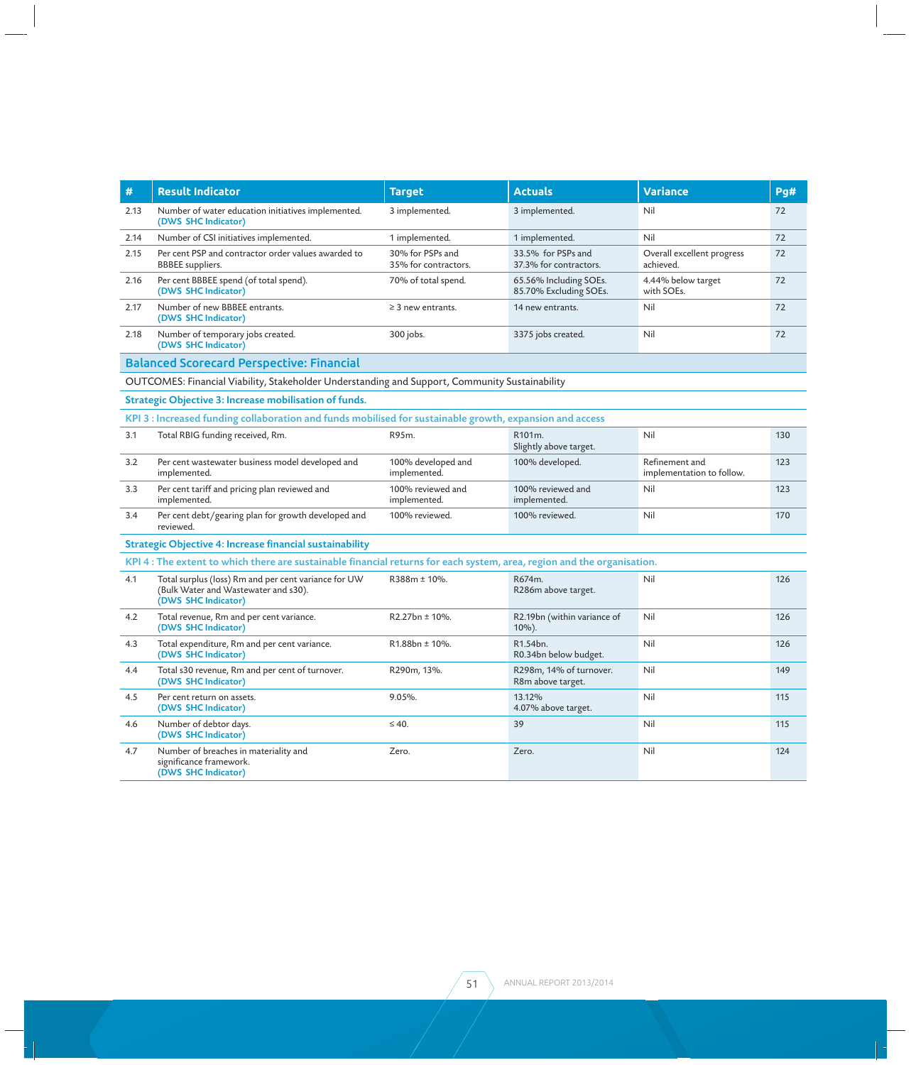| #                                                                                                        | <b>Result Indicator</b>                                                                                                 | <b>Target</b>                            | <b>Actuals</b>                                   | <b>Variance</b>                             | Pg# |  |  |
|----------------------------------------------------------------------------------------------------------|-------------------------------------------------------------------------------------------------------------------------|------------------------------------------|--------------------------------------------------|---------------------------------------------|-----|--|--|
| 2.13                                                                                                     | Number of water education initiatives implemented.<br>(DWS SHC Indicator)                                               | 3 implemented.                           | 3 implemented.                                   | Nil                                         | 72  |  |  |
| 2.14                                                                                                     | Number of CSI initiatives implemented.                                                                                  | 1 implemented.                           | 1 implemented.                                   | Nil                                         | 72  |  |  |
| 2.15                                                                                                     | Per cent PSP and contractor order values awarded to<br><b>BBBEE</b> suppliers.                                          | 30% for PSPs and<br>35% for contractors. | 33.5% for PSPs and<br>37.3% for contractors.     | Overall excellent progress<br>achieved.     | 72  |  |  |
| 2.16                                                                                                     | Per cent BBBEE spend (of total spend).<br>(DWS SHC Indicator)                                                           | 70% of total spend.                      | 65.56% Including SOEs.<br>85.70% Excluding SOEs. | 4.44% below target<br>with SOEs.            | 72  |  |  |
| 2.17                                                                                                     | Number of new BBBEE entrants.<br>(DWS SHC Indicator)                                                                    | $\geq$ 3 new entrants.                   | 14 new entrants.                                 | Nil                                         | 72  |  |  |
| 2.18                                                                                                     | Number of temporary jobs created.<br>(DWS SHC Indicator)                                                                | 300 jobs.                                | 3375 jobs created.                               | Nil                                         | 72  |  |  |
| <b>Balanced Scorecard Perspective: Financial</b>                                                         |                                                                                                                         |                                          |                                                  |                                             |     |  |  |
| OUTCOMES: Financial Viability, Stakeholder Understanding and Support, Community Sustainability           |                                                                                                                         |                                          |                                                  |                                             |     |  |  |
|                                                                                                          | Strategic Objective 3: Increase mobilisation of funds.                                                                  |                                          |                                                  |                                             |     |  |  |
| KPI 3 : Increased funding collaboration and funds mobilised for sustainable growth, expansion and access |                                                                                                                         |                                          |                                                  |                                             |     |  |  |
| 3.1                                                                                                      | Total RBIG funding received, Rm.                                                                                        | R95m.                                    | R101m.<br>Slightly above target.                 | Nil                                         | 130 |  |  |
| 3.2                                                                                                      | Per cent wastewater business model developed and<br>implemented.                                                        | 100% developed and<br>implemented.       | 100% developed.                                  | Refinement and<br>implementation to follow. | 123 |  |  |
| 3.3                                                                                                      | Per cent tariff and pricing plan reviewed and<br>implemented.                                                           | 100% reviewed and<br>implemented.        | 100% reviewed and<br>implemented.                | Nil                                         | 123 |  |  |
| 3.4                                                                                                      | Per cent debt/gearing plan for growth developed and<br>reviewed.                                                        | 100% reviewed.                           | 100% reviewed.                                   | Nil                                         | 170 |  |  |
| Strategic Objective 4: Increase financial sustainability                                                 |                                                                                                                         |                                          |                                                  |                                             |     |  |  |
|                                                                                                          | KPI 4 : The extent to which there are sustainable financial returns for each system, area, region and the organisation. |                                          |                                                  |                                             |     |  |  |
| 4.1                                                                                                      | Total surplus (loss) Rm and per cent variance for UW<br>(Bulk Water and Wastewater and s30).<br>(DWS SHC Indicator)     | R388m ± 10%.                             | R674m.<br>R286m above target.                    | Nil                                         | 126 |  |  |
| 4.2                                                                                                      | Total revenue, Rm and per cent variance.<br>(DWS SHC Indicator)                                                         | R2.27bn ± 10%.                           | R2.19bn (within variance of<br>$10\%$ ).         | Nil                                         | 126 |  |  |
| 4.3                                                                                                      | Total expenditure, Rm and per cent variance.<br>(DWS SHC Indicator)                                                     | $R1.88bn \pm 10\%$ .                     | R1.54bn.<br>R0.34bn below budget.                | Nil                                         | 126 |  |  |
| 4.4                                                                                                      | Total s30 revenue, Rm and per cent of turnover.<br>(DWS SHC Indicator)                                                  | R290m, 13%.                              | R298m, 14% of turnover.<br>R8m above target.     | Nil                                         | 149 |  |  |
| 4.5                                                                                                      | Per cent return on assets.<br>(DWS SHC Indicator)                                                                       | $9.05%$ .                                | 13.12%<br>4.07% above target.                    | Nil                                         | 115 |  |  |
| 4.6                                                                                                      | Number of debtor days.<br>(DWS SHC Indicator)                                                                           | $\leq 40$ .                              | 39                                               | Nil                                         | 115 |  |  |
| 4.7                                                                                                      | Number of breaches in materiality and<br>significance framework.<br>(DWS SHC Indicator)                                 | Zero.                                    | Zero.                                            | Nil                                         | 124 |  |  |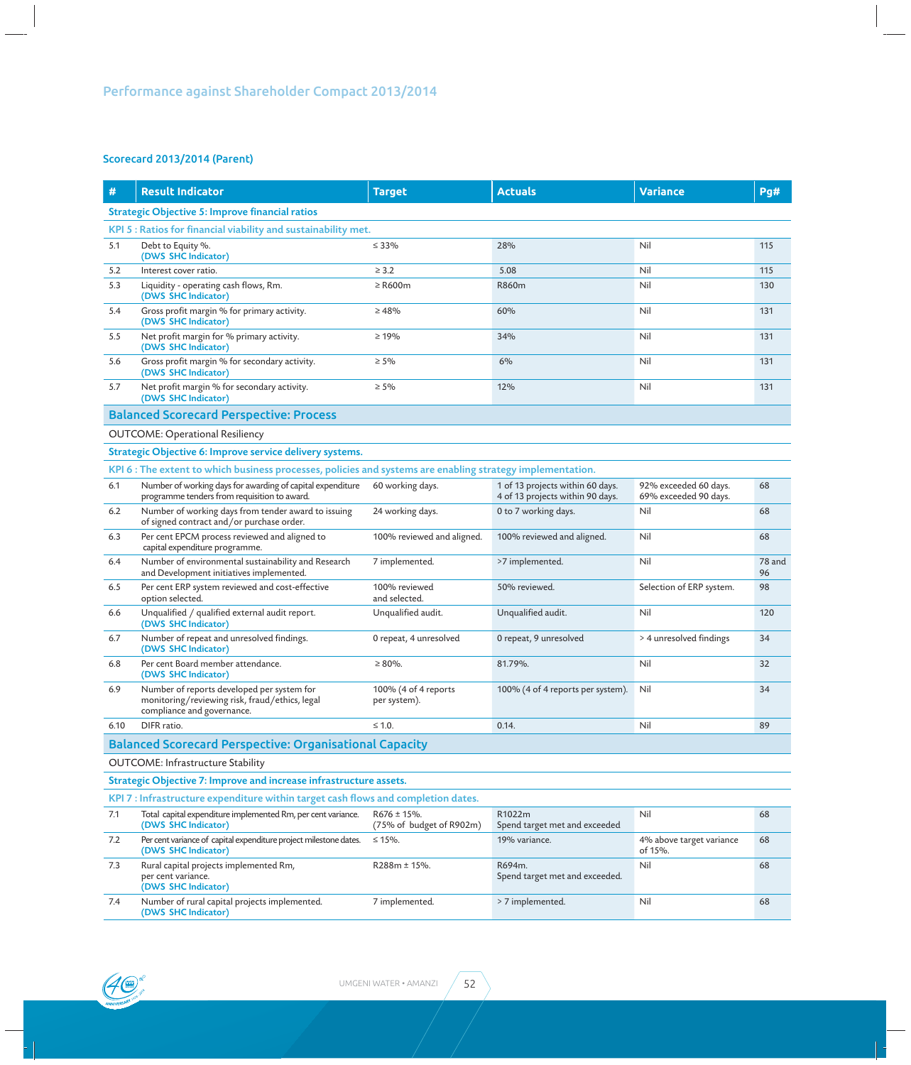## Scorecard 2013/2014 (Parent)

| #                                                                                 | <b>Result Indicator</b>                                                                                                    | <b>Target</b>                                | <b>Actuals</b>                                                       | <b>Variance</b>                                | Pq#          |  |  |
|-----------------------------------------------------------------------------------|----------------------------------------------------------------------------------------------------------------------------|----------------------------------------------|----------------------------------------------------------------------|------------------------------------------------|--------------|--|--|
| <b>Strategic Objective 5: Improve financial ratios</b>                            |                                                                                                                            |                                              |                                                                      |                                                |              |  |  |
| KPI 5 : Ratios for financial viability and sustainability met.                    |                                                                                                                            |                                              |                                                                      |                                                |              |  |  |
| 5.1                                                                               | Debt to Equity %.<br>(DWS SHC Indicator)                                                                                   | $\leq 33\%$                                  | 28%                                                                  | Nil                                            | 115          |  |  |
| 5.2                                                                               | Interest cover ratio.                                                                                                      | $\geq$ 3.2                                   | 5.08                                                                 | Nil                                            | 115          |  |  |
| 5.3                                                                               | Liquidity - operating cash flows, Rm.<br>(DWS SHC Indicator)                                                               | $\geq$ R600m                                 | R860m                                                                | Nil                                            | 130          |  |  |
| 5.4                                                                               | Gross profit margin % for primary activity.<br>(DWS SHC Indicator)                                                         | $\geq 48\%$                                  | 60%                                                                  | Nil                                            | 131          |  |  |
| 5.5                                                                               | Net profit margin for % primary activity.<br>(DWS SHC Indicator)                                                           | $\geq 19\%$                                  | 34%                                                                  | Nil                                            | 131          |  |  |
| 5.6                                                                               | Gross profit margin % for secondary activity.<br>(DWS SHC Indicator)                                                       | $\geq 5\%$                                   | 6%                                                                   | Nil                                            | 131          |  |  |
| 5.7                                                                               | Net profit margin % for secondary activity.<br>(DWS SHC Indicator)                                                         | $\geq 5\%$                                   | 12%                                                                  | Nil                                            | 131          |  |  |
| <b>Balanced Scorecard Perspective: Process</b>                                    |                                                                                                                            |                                              |                                                                      |                                                |              |  |  |
|                                                                                   | <b>OUTCOME: Operational Resiliency</b>                                                                                     |                                              |                                                                      |                                                |              |  |  |
| Strategic Objective 6: Improve service delivery systems.                          |                                                                                                                            |                                              |                                                                      |                                                |              |  |  |
|                                                                                   | KPI 6 : The extent to which business processes, policies and systems are enabling strategy implementation.                 |                                              |                                                                      |                                                |              |  |  |
| 6.1                                                                               | Number of working days for awarding of capital expenditure<br>programme tenders from requisition to award.                 | 60 working days.                             | 1 of 13 projects within 60 days.<br>4 of 13 projects within 90 days. | 92% exceeded 60 days.<br>69% exceeded 90 days. | 68           |  |  |
| 6.2                                                                               | Number of working days from tender award to issuing<br>of signed contract and/or purchase order.                           | 24 working days.                             | 0 to 7 working days.                                                 | Nil                                            | 68           |  |  |
| 6.3                                                                               | Per cent EPCM process reviewed and aligned to<br>capital expenditure programme.                                            | 100% reviewed and aligned.                   | 100% reviewed and aligned.                                           | Nil                                            | 68           |  |  |
| 6.4                                                                               | Number of environmental sustainability and Research<br>and Development initiatives implemented.                            | 7 implemented.                               | >7 implemented.                                                      | Nil                                            | 78 and<br>96 |  |  |
| 6.5                                                                               | Per cent ERP system reviewed and cost-effective<br>option selected.                                                        | 100% reviewed<br>and selected.               | 50% reviewed.                                                        | Selection of ERP system.                       | 98           |  |  |
| 6.6                                                                               | Unqualified / qualified external audit report.<br>(DWS SHC Indicator)                                                      | Unqualified audit.                           | Unqualified audit.                                                   | Nil                                            | 120          |  |  |
| 6.7                                                                               | Number of repeat and unresolved findings.<br>(DWS SHC Indicator)                                                           | 0 repeat, 4 unresolved                       | 0 repeat, 9 unresolved                                               | > 4 unresolved findings                        | 34           |  |  |
| 6.8                                                                               | Per cent Board member attendance.<br>(DWS SHC Indicator)                                                                   | $\geq 80\%$ .                                | 81.79%.                                                              | Nil                                            | 32           |  |  |
| 6.9                                                                               | Number of reports developed per system for<br>monitoring/reviewing risk, fraud/ethics, legal<br>compliance and governance. | 100% (4 of 4 reports<br>per system).         | 100% (4 of 4 reports per system).                                    | Nil                                            | 34           |  |  |
| 6.10                                                                              | DIFR ratio.                                                                                                                | $\leq 1.0$ .                                 | 0.14.                                                                | Nil                                            | 89           |  |  |
| <b>Balanced Scorecard Perspective: Organisational Capacity</b>                    |                                                                                                                            |                                              |                                                                      |                                                |              |  |  |
| <b>OUTCOME:</b> Infrastructure Stability                                          |                                                                                                                            |                                              |                                                                      |                                                |              |  |  |
| Strategic Objective 7: Improve and increase infrastructure assets.                |                                                                                                                            |                                              |                                                                      |                                                |              |  |  |
| KPI 7 : Infrastructure expenditure within target cash flows and completion dates. |                                                                                                                            |                                              |                                                                      |                                                |              |  |  |
| 7.1                                                                               | Total capital expenditure implemented Rm, per cent variance.<br>(DWS SHC Indicator)                                        | $R676 \pm 15%$ .<br>(75% of budget of R902m) | R1022m<br>Spend target met and exceeded                              | Nil                                            | 68           |  |  |
| 7.2                                                                               | Per cent variance of capital expenditure project milestone dates.<br>(DWS SHC Indicator)                                   | $≤ 15%$ .                                    | 19% variance.                                                        | 4% above target variance<br>of 15%.            | 68           |  |  |
| 7.3                                                                               | Rural capital projects implemented Rm,<br>per cent variance.<br>(DWS SHC Indicator)                                        | $R288m \pm 15%$ .                            | R694m.<br>Spend target met and exceeded.                             | Nil                                            | 68           |  |  |
| 7.4                                                                               | Number of rural capital projects implemented.<br>(DWS SHC Indicator)                                                       | 7 implemented.                               | > 7 implemented.                                                     | Nil                                            | 68           |  |  |